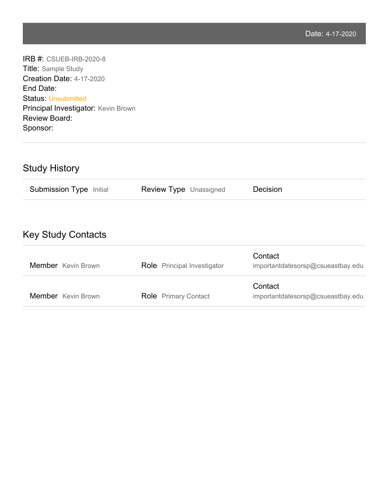IRB #: CSUEB-IRB-2020-8 Title: Sample Study Creation Date: 4-17-2020 End Date: Status: Unsubmitted Principal Investigator: Kevin Brown Review Board: Sponsor:

# Study History

| <b>Submission Type Initial</b> | <b>Review Type Unassigned</b> | Decision |
|--------------------------------|-------------------------------|----------|
|--------------------------------|-------------------------------|----------|

# Key Study Contacts

| Member Kevin Brown | <b>Role</b> Principal Investigator | Contact<br>importantdatesorsp@csueastbay.edu |
|--------------------|------------------------------------|----------------------------------------------|
| Member Kevin Brown | <b>Role</b> Primary Contact        | Contact<br>importantdatesorsp@csueastbay.edu |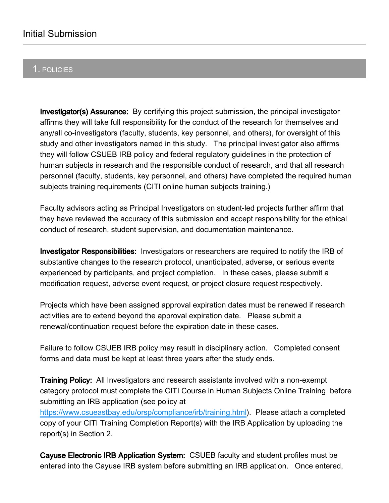# 1. POLICIES

**Investigator(s) Assurance:** By certifying this project submission, the principal investigator affirms they will take full responsibility for the conduct of the research for themselves and any/all co-investigators (faculty, students, key personnel, and others), for oversight of this study and other investigators named in this study. The principal investigator also affirms they will follow CSUEB IRB policy and federal regulatory guidelines in the protection of human subjects in research and the responsible conduct of research, and that all research personnel (faculty, students, key personnel, and others) have completed the required human subjects training requirements (CITI online human subjects training.)

Faculty advisors acting as Principal Investigators on student-led projects further affirm that they have reviewed the accuracy of this submission and accept responsibility for the ethical conduct of research, student supervision, and documentation maintenance.

**Investigator Responsibilities:** Investigators or researchers are required to notify the IRB of substantive changes to the research protocol, unanticipated, adverse, or serious events experienced by participants, and project completion. In these cases, please submit a modification request, adverse event request, or project closure request respectively.

Projects which have been assigned approval expiration dates must be renewed if research activities are to extend beyond the approval expiration date. Please submit a renewal/continuation request before the expiration date in these cases.

Failure to follow CSUEB IRB policy may result in disciplinary action. Completed consent forms and data must be kept at least three years after the study ends.

**Training Policy:** All Investigators and research assistants involved with a non-exempt category protocol must complete the CITI Course in Human Subjects Online Training before submitting an IRB application (see policy at

<https://www.csueastbay.edu/orsp/compliance/irb/training.html>). Please attach a completed copy of your CITI Training Completion Report(s) with the IRB Application by uploading the report(s) in Section 2.

Cayuse Electronic IRB Application System: CSUEB faculty and student profiles must be entered into the Cayuse IRB system before submitting an IRB application. Once entered,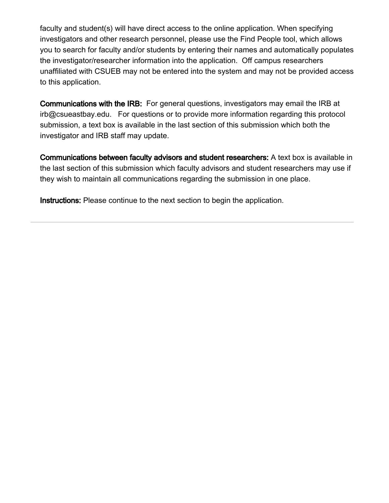faculty and student(s) will have direct access to the online application. When specifying investigators and other research personnel, please use the Find People tool, which allows you to search for faculty and/or students by entering their names and automatically populates the investigator/researcher information into the application. Off campus researchers unaffiliated with CSUEB may not be entered into the system and may not be provided access to this application.

Communications with the IRB: For general questions, investigators may email the IRB at irb@csueastbay.edu. For questions or to provide more information regarding this protocol submission, a text box is available in the last section of this submission which both the investigator and IRB staff may update.

Communications between faculty advisors and student researchers: A text box is available in the last section of this submission which faculty advisors and student researchers may use if they wish to maintain all communications regarding the submission in one place.

Instructions: Please continue to the next section to begin the application.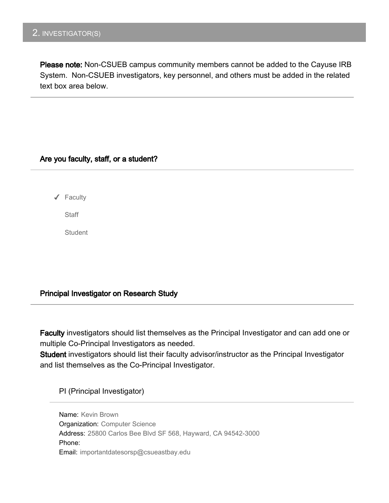# 2. INVESTIGATOR(S)

Please note: Non-CSUEB campus community members cannot be added to the Cayuse IRB System. Non-CSUEB investigators, key personnel, and others must be added in the related text box area below.

### Are you faculty, staff, or a student?

✔ Faculty

**Staff** 

**Student** 

### Principal Investigator on Research Study

Faculty investigators should list themselves as the Principal Investigator and can add one or multiple Co-Principal Investigators as needed.

Student investigators should list their faculty advisor/instructor as the Principal Investigator and list themselves as the Co-Principal Investigator.

PI (Principal Investigator)

Name: Kevin Brown Organization: Computer Science Address: 25800 Carlos Bee Blvd SF 568, Hayward, CA 94542-3000 Phone: Email: importantdatesorsp@csueastbay.edu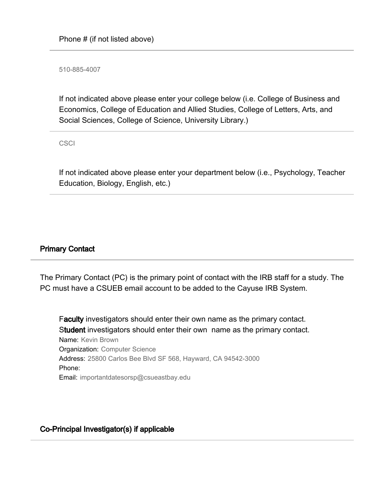510-885-4007

If not indicated above please enter your college below (i.e. College of Business and Economics, College of Education and Allied Studies, College of Letters, Arts, and Social Sciences, College of Science, University Library.)

**CSCI** 

If not indicated above please enter your department below (i.e., Psychology, Teacher Education, Biology, English, etc.)

### Primary Contact

The Primary Contact (PC) is the primary point of contact with the IRB staff for a study. The PC must have a CSUEB email account to be added to the Cayuse IRB System.

Faculty investigators should enter their own name as the primary contact. Student investigators should enter their own name as the primary contact. Name: Kevin Brown Organization: Computer Science Address: 25800 Carlos Bee Blvd SF 568, Hayward, CA 94542-3000 Phone: Email: importantdatesorsp@csueastbay.edu

### Co-Principal Investigator(s) if applicable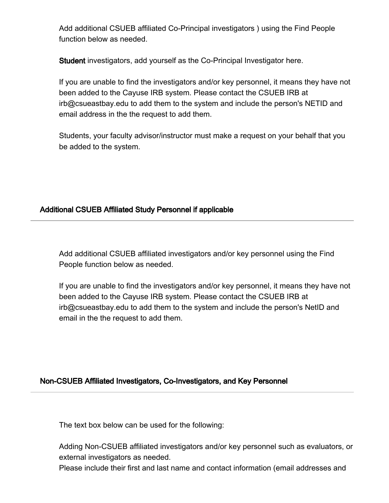Add additional CSUEB affiliated Co-Principal investigators ) using the Find People function below as needed.

Student investigators, add yourself as the Co-Principal Investigator here.

If you are unable to find the investigators and/or key personnel, it means they have not been added to the Cayuse IRB system. Please contact the CSUEB IRB at irb@csueastbay.edu to add them to the system and include the person's NETID and email address in the the request to add them.

Students, your faculty advisor/instructor must make a request on your behalf that you be added to the system.

# Additional CSUEB Affiliated Study Personnel if applicable

Add additional CSUEB affiliated investigators and/or key personnel using the Find People function below as needed.

If you are unable to find the investigators and/or key personnel, it means they have not been added to the Cayuse IRB system. Please contact the CSUEB IRB at irb@csueastbay.edu to add them to the system and include the person's NetID and email in the the request to add them.

### Non-CSUEB Affiliated Investigators, Co-Investigators, and Key Personnel

The text box below can be used for the following:

Adding Non-CSUEB affiliated investigators and/or key personnel such as evaluators, or external investigators as needed.

Please include their first and last name and contact information (email addresses and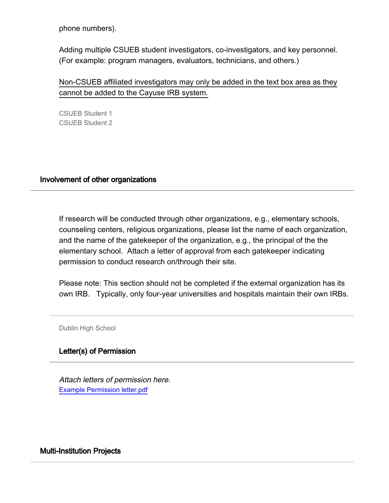phone numbers).

Adding multiple CSUEB student investigators, co-investigators, and key personnel. (For example: program managers, evaluators, technicians, and others.)

Non-CSUEB affiliated investigators may only be added in the text box area as they cannot be added to the Cayuse IRB system.

CSUEB Student 1 CSUEB Student 2

### Involvement of other organizations

If research will be conducted through other organizations, e.g., elementary schools, counseling centers, religious organizations, please list the name of each organization, and the name of the gatekeeper of the organization, e.g., the principal of the the elementary school. Attach a letter of approval from each gatekeeper indicating permission to conduct research on/through their site.

Please note: This section should not be completed if the external organization has its own IRB. Typically, only four-year universities and hospitals maintain their own IRBs.

Dublin High School

### Letter(s) of Permission

Example Permission letter.pdf Attach letters of permission here.

### Multi-Institution Projects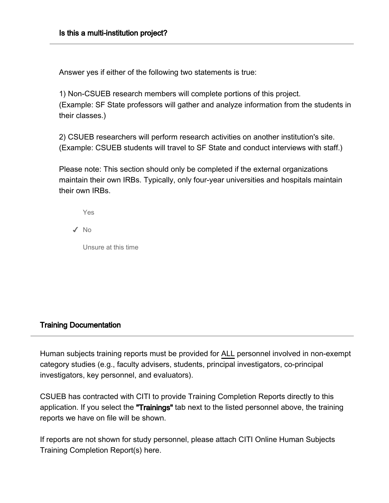Answer yes if either of the following two statements is true:

1) Non-CSUEB research members will complete portions of this project. (Example: SF State professors will gather and analyze information from the students in their classes.)

2) CSUEB researchers will perform research activities on another institution's site. (Example: CSUEB students will travel to SF State and conduct interviews with staff.)

Please note: This section should only be completed if the external organizations maintain their own IRBs. Typically, only four-year universities and hospitals maintain their own IRBs.

✔ No

Unsure at this time

### Training Documentation

Human subjects training reports must be provided for ALL personnel involved in non-exempt category studies (e.g., faculty advisers, students, principal investigators, co-principal investigators, key personnel, and evaluators).

CSUEB has contracted with CITI to provide Training Completion Reports directly to this application. If you select the "Trainings" tab next to the listed personnel above, the training reports we have on file will be shown.

If reports are not shown for study personnel, please attach CITI Online Human Subjects Training Completion Report(s) here.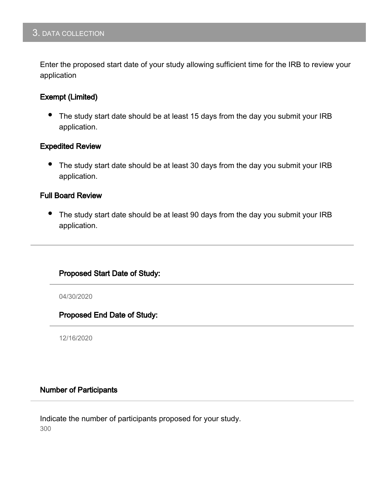# 3. DATA COLLECTION

Enter the proposed start date of your study allowing sufficient time for the IRB to review your application

### Exempt (Limited)

• The study start date should be at least 15 days from the day you submit your IRB application.

### Expedited Review

The study start date should be at least 30 days from the day you submit your IRB application.

#### Full Board Review

• The study start date should be at least 90 days from the day you submit your IRB application.

### Proposed Start Date of Study:

04/30/2020

Proposed End Date of Study:

12/16/2020

### Number of Participants

Indicate the number of participants proposed for your study. 300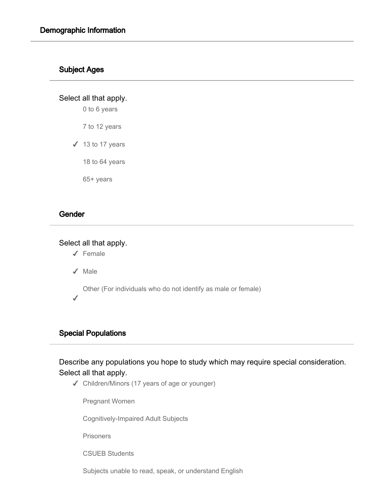### Subject Ages

Select all that apply.

0 to 6 years

7 to 12 years

 $\checkmark$  13 to 17 years

18 to 64 years

65+ years

### **Gender**

### Select all that apply.

✔ Female

✔ Male

Other (For individuals who do not identify as male or female)

✔

# Special Populations

Describe any populations you hope to study which may require special consideration. Select all that apply.

✔ Children/Minors (17 years of age or younger)

Pregnant Women

Cognitively-Impaired Adult Subjects

**Prisoners** 

CSUEB Students

Subjects unable to read, speak, or understand English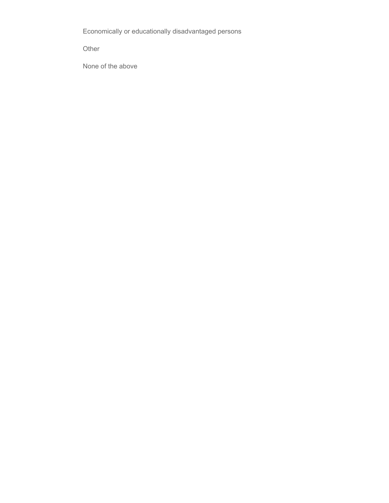Economically or educationally disadvantaged persons

Other

None of the above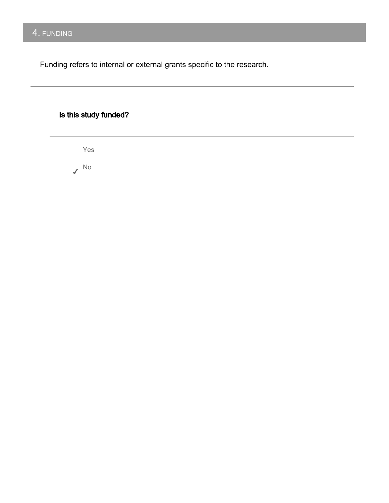# 4. FUNDING

Funding refers to internal or external grants specific to the research.

# Is this study funded?

Yes ✔ No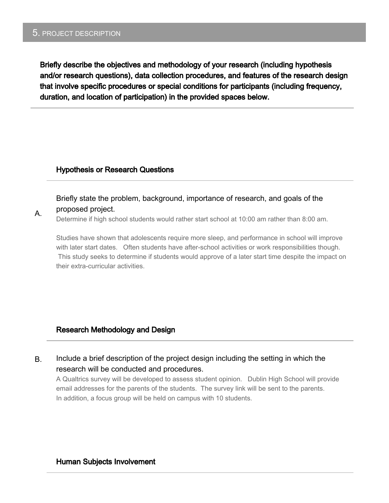### 5. PROJECT DESCRIPTION

A.

Briefly describe the objectives and methodology of your research (including hypothesis and/or research questions), data collection procedures, and features of the research design that involve specific procedures or special conditions for participants (including frequency, duration, and location of participation) in the provided spaces below.

### Hypothesis or Research Questions

### Briefly state the problem, background, importance of research, and goals of the proposed project.

Determine if high school students would rather start school at 10:00 am rather than 8:00 am.

Studies have shown that adolescents require more sleep, and performance in school will improve with later start dates. Often students have after-school activities or work responsibilities though. This study seeks to determine if students would approve of a later start time despite the impact on their extra-curricular activities.

### Research Methodology and Design

B. Include a brief description of the project design including the setting in which the research will be conducted and procedures.

A Qualtrics survey will be developed to assess student opinion. Dublin High School will provide email addresses for the parents of the students. The survey link will be sent to the parents. In addition, a focus group will be held on campus with 10 students.

#### Human Subjects Involvement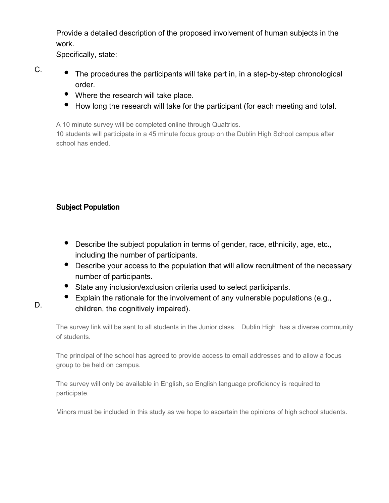Provide a detailed description of the proposed involvement of human subjects in the work.

Specifically, state:

C.

- The procedures the participants will take part in, in a step-by-step chronological order.
- Where the research will take place.
- How long the research will take for the participant (for each meeting and total.

A 10 minute survey will be completed online through Qualtrics.

10 students will participate in a 45 minute focus group on the Dublin High School campus after school has ended.

# Subject Population

- Describe the subject population in terms of gender, race, ethnicity, age, etc., including the number of participants.
- Describe your access to the population that will allow recruitment of the necessary number of participants.
- State any inclusion/exclusion criteria used to select participants.
- Explain the rationale for the involvement of any vulnerable populations (e.g., children, the cognitively impaired).

The survey link will be sent to all students in the Junior class. Dublin High has a diverse community of students.

The principal of the school has agreed to provide access to email addresses and to allow a focus group to be held on campus.

The survey will only be available in English, so English language proficiency is required to participate.

Minors must be included in this study as we hope to ascertain the opinions of high school students.

D.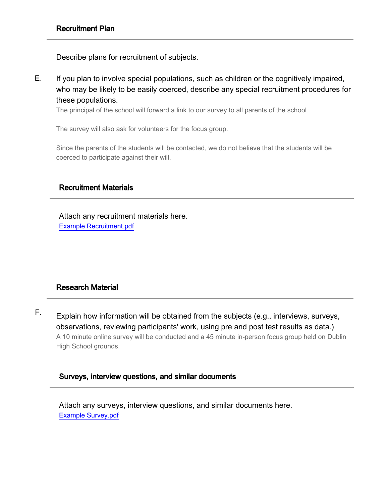Describe plans for recruitment of subjects.

E. If you plan to involve special populations, such as children or the cognitively impaired, who may be likely to be easily coerced, describe any special recruitment procedures for these populations.

The principal of the school will forward a link to our survey to all parents of the school.

The survey will also ask for volunteers for the focus group.

Since the parents of the students will be contacted, we do not believe that the students will be coerced to participate against their will.

### Recruitment Materials

Example Recruitment.pdf Attach any recruitment materials here.

# Research Material

F. Explain how information will be obtained from the subjects (e.g., interviews, surveys, observations, reviewing participants' work, using pre and post test results as data.) A 10 minute online survey will be conducted and a 45 minute in-person focus group held on Dublin High School grounds.

### Surveys, interview questions, and similar documents

Example Survey.pdf Attach any surveys, interview questions, and similar documents here.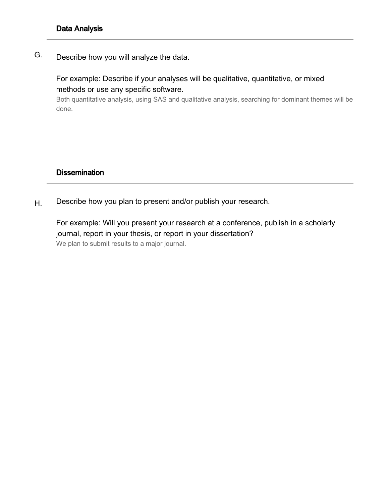G. Describe how you will analyze the data.

> For example: Describe if your analyses will be qualitative, quantitative, or mixed methods or use any specific software.

Both quantitative analysis, using SAS and qualitative analysis, searching for dominant themes will be done.

# **Dissemination**

H. Describe how you plan to present and/or publish your research.

For example: Will you present your research at a conference, publish in a scholarly journal, report in your thesis, or report in your dissertation? We plan to submit results to a major journal.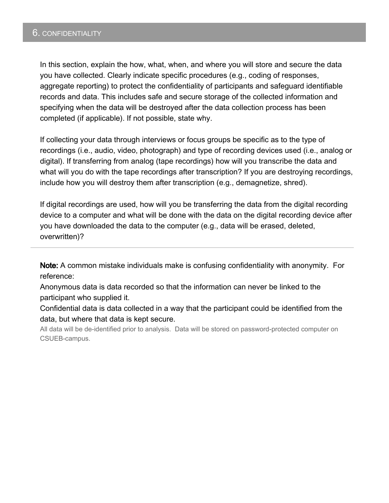### 6. CONFIDENTIALITY

In this section, explain the how, what, when, and where you will store and secure the data you have collected. Clearly indicate specific procedures (e.g., coding of responses, aggregate reporting) to protect the confidentiality of participants and safeguard identifiable records and data. This includes safe and secure storage of the collected information and specifying when the data will be destroyed after the data collection process has been completed (if applicable). If not possible, state why.

If collecting your data through interviews or focus groups be specific as to the type of recordings (i.e., audio, video, photograph) and type of recording devices used (i.e., analog or digital). If transferring from analog (tape recordings) how will you transcribe the data and what will you do with the tape recordings after transcription? If you are destroying recordings, include how you will destroy them after transcription (e.g., demagnetize, shred).

If digital recordings are used, how will you be transferring the data from the digital recording device to a computer and what will be done with the data on the digital recording device after you have downloaded the data to the computer (e.g., data will be erased, deleted, overwritten)?

Note: A common mistake individuals make is confusing confidentiality with anonymity. For reference:

Anonymous data is data recorded so that the information can never be linked to the participant who supplied it.

Confidential data is data collected in a way that the participant could be identified from the data, but where that data is kept secure.

All data will be de-identified prior to analysis. Data will be stored on password-protected computer on CSUEB-campus.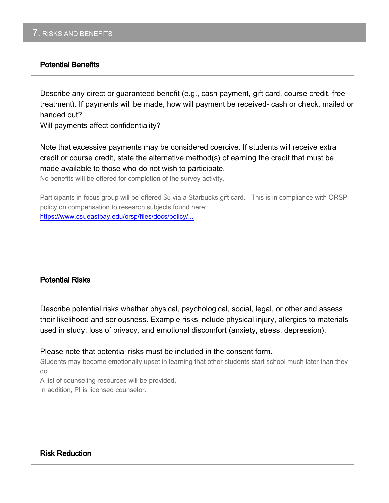### Potential Benefits

Describe any direct or guaranteed benefit (e.g., cash payment, gift card, course credit, free treatment). If payments will be made, how will payment be received- cash or check, mailed or handed out?

Will payments affect confidentiality?

Note that excessive payments may be considered coercive. If students will receive extra credit or course credit, state the alternative method(s) of earning the credit that must be made available to those who do not wish to participate.

No benefits will be offered for completion of the survey activity.

Participants in focus group will be offered \$5 via a Starbucks gift card. This is in compliance with ORSP policy on compensation to research subjects found here: [https://www.csueastbay.edu/orsp/files/docs/policy/...](https://www.csueastbay.edu/orsp/files/docs/policy/orsp-research-incentives-guidance.pdf)

### Potential Risks

Describe potential risks whether physical, psychological, social, legal, or other and assess their likelihood and seriousness. Example risks include physical injury, allergies to materials used in study, loss of privacy, and emotional discomfort (anxiety, stress, depression).

Please note that potential risks must be included in the consent form.

Students may become emotionally upset in learning that other students start school much later than they do.

A list of counseling resources will be provided. In addition, PI is licensed counselor.

### Risk Reduction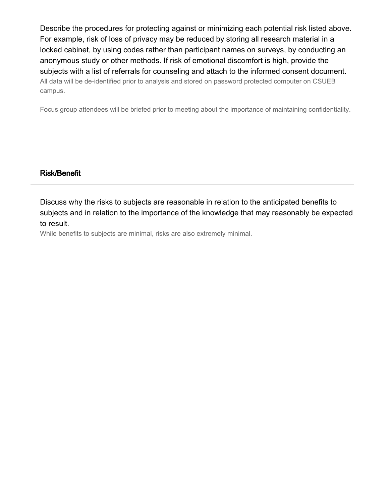Describe the procedures for protecting against or minimizing each potential risk listed above. For example, risk of loss of privacy may be reduced by storing all research material in a locked cabinet, by using codes rather than participant names on surveys, by conducting an anonymous study or other methods. If risk of emotional discomfort is high, provide the subjects with a list of referrals for counseling and attach to the informed consent document. All data will be de-identified prior to analysis and stored on password protected computer on CSUEB campus.

Focus group attendees will be briefed prior to meeting about the importance of maintaining confidentiality.

### Risk/Benefit

Discuss why the risks to subjects are reasonable in relation to the anticipated benefits to subjects and in relation to the importance of the knowledge that may reasonably be expected to result.

While benefits to subjects are minimal, risks are also extremely minimal.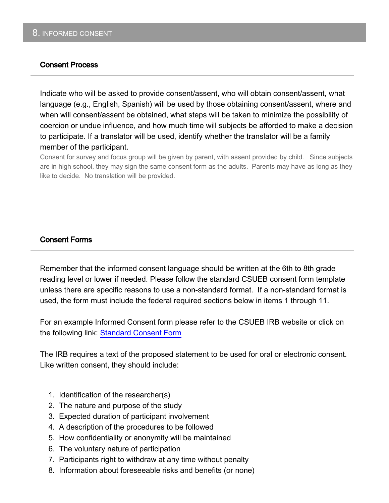### Consent Process

Indicate who will be asked to provide consent/assent, who will obtain consent/assent, what language (e.g., English, Spanish) will be used by those obtaining consent/assent, where and when will consent/assent be obtained, what steps will be taken to minimize the possibility of coercion or undue influence, and how much time will subjects be afforded to make a decision to participate. If a translator will be used, identify whether the translator will be a family member of the participant.

Consent for survey and focus group will be given by parent, with assent provided by child. Since subjects are in high school, they may sign the same consent form as the adults. Parents may have as long as they like to decide. No translation will be provided.

### Consent Forms

Remember that the informed consent language should be written at the 6th to 8th grade reading level or lower if needed. Please follow the standard CSUEB consent form template unless there are specific reasons to use a non-standard format. If a non-standard format is used, the form must include the federal required sections below in items 1 through 11.

For an example Informed Consent form please refer to the CSUEB IRB website or click on the following link: [Standard Consent Form](https://www.csueastbay.edu/orsp/files/docs/irb/informed-consent-templ.doc)

The IRB requires a text of the proposed statement to be used for oral or electronic consent. Like written consent, they should include:

- 1. Identification of the researcher(s)
- 2. The nature and purpose of the study
- 3. Expected duration of participant involvement
- 4. A description of the procedures to be followed
- 5. How confidentiality or anonymity will be maintained
- 6. The voluntary nature of participation
- 7. Participants right to withdraw at any time without penalty
- 8. Information about foreseeable risks and benefits (or none)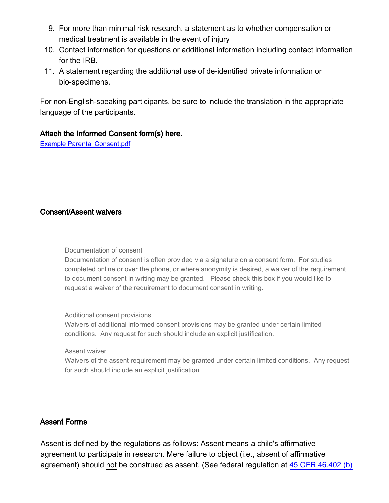- 9. For more than minimal risk research, a statement as to whether compensation or medical treatment is available in the event of injury
- 10. Contact information for questions or additional information including contact information for the IRB.
- 11. A statement regarding the additional use of de-identified private information or bio-specimens.

For non-English-speaking participants, be sure to include the translation in the appropriate language of the participants.

### Attach the Informed Consent form(s) here.

Example Parental Consent.pdf

### Consent/Assent waivers

#### Documentation of consent

Documentation of consent is often provided via a signature on a consent form. For studies completed online or over the phone, or where anonymity is desired, a waiver of the requirement to document consent in writing may be granted. Please check this box if you would like to request a waiver of the requirement to document consent in writing.

#### Additional consent provisions

Waivers of additional informed consent provisions may be granted under certain limited conditions. Any request for such should include an explicit justification.

Assent waiver

Waivers of the assent requirement may be granted under certain limited conditions. Any request for such should include an explicit justification.

### Assent Forms

Assent is defined by the regulations as follows: Assent means a child's affirmative agreement to participate in research. Mere failure to object (i.e., absent of affirmative agreement) should not be construed as assent. (See federal regulation at [45 CFR 46.402 \(b\)](http://www.hhs.gov/ohrp/humansubjects/guidance/45cfr46.html#46.402)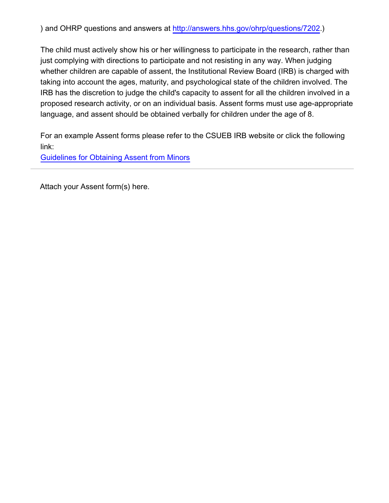) and OHRP questions and answers at [http://answers.hhs.gov/ohrp/questions/7202.](http://answers.hhs.gov/ohrp/questions/7202))

The child must actively show his or her willingness to participate in the research, rather than just complying with directions to participate and not resisting in any way. When judging whether children are capable of assent, the Institutional Review Board (IRB) is charged with taking into account the ages, maturity, and psychological state of the children involved. The IRB has the discretion to judge the child's capacity to assent for all the children involved in a proposed research activity, or on an individual basis. Assent forms must use age-appropriate language, and assent should be obtained verbally for children under the age of 8.

For an example Assent forms please refer to the CSUEB IRB website or click the following link:

[Guidelines for Obtaining Assent from Minors](https://www.csueastbay.edu/orsp/compliance/irb/guidelines-for-minors.html)

Attach your Assent form(s) here.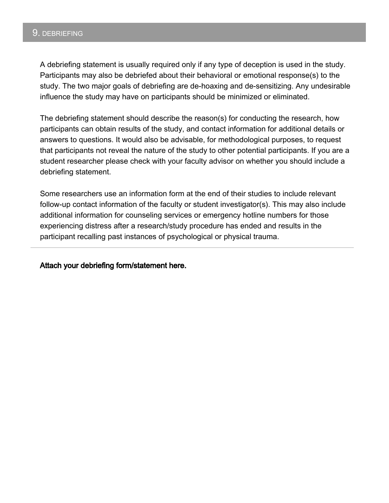### 9. DEBRIEFING

A debriefing statement is usually required only if any type of deception is used in the study. Participants may also be debriefed about their behavioral or emotional response(s) to the study. The two major goals of debriefing are de-hoaxing and de-sensitizing. Any undesirable influence the study may have on participants should be minimized or eliminated.

The debriefing statement should describe the reason(s) for conducting the research, how participants can obtain results of the study, and contact information for additional details or answers to questions. It would also be advisable, for methodological purposes, to request that participants not reveal the nature of the study to other potential participants. If you are a student researcher please check with your faculty advisor on whether you should include a debriefing statement.

Some researchers use an information form at the end of their studies to include relevant follow-up contact information of the faculty or student investigator(s). This may also include additional information for counseling services or emergency hotline numbers for those experiencing distress after a research/study procedure has ended and results in the participant recalling past instances of psychological or physical trauma.

Attach your debriefing form/statement here.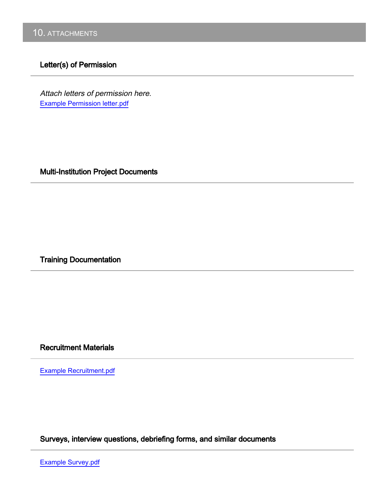### Letter(s) of Permission

Example Permission letter.pdf Attach letters of permission here.

Multi-Institution Project Documents

Training Documentation

# Recruitment Materials

Example Recruitment.pdf

Surveys, interview questions, debriefing forms, and similar documents

Example Survey.pdf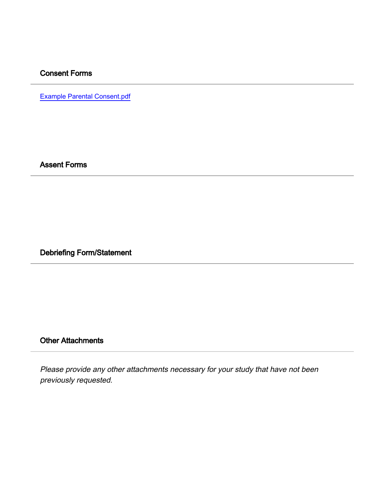### Consent Forms

Example Parental Consent.pdf

Assent Forms

Debriefing Form/Statement

# Other Attachments

Please provide any other attachments necessary for your study that have not been previously requested.